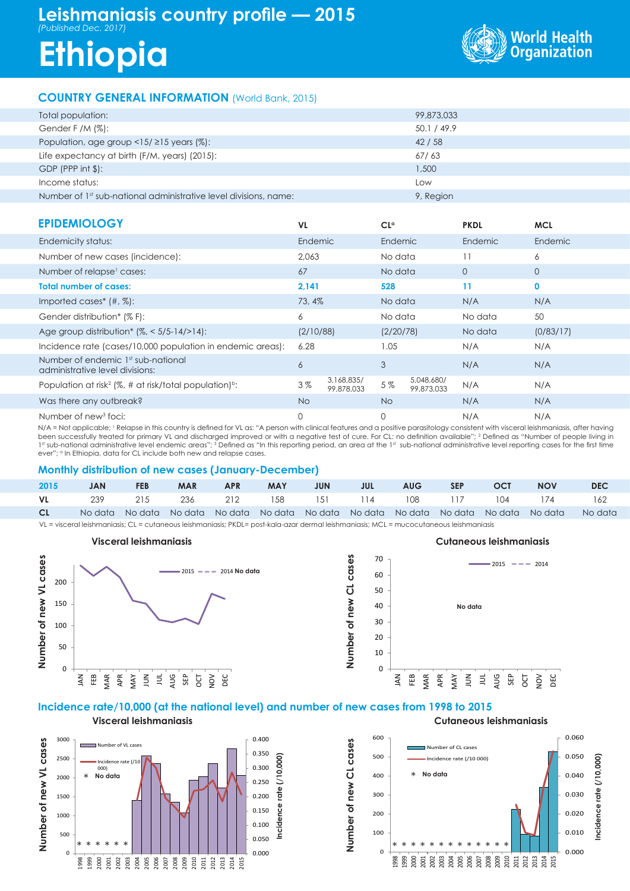# **Leishmaniasis country profile — 2015** *(Published Dec. 2017)*

# **Ethiopia**



### **COUNTRY GENERAL INFORMATION** (World Bank, 2015)

| Total population:                                                            | 99,873,033  |
|------------------------------------------------------------------------------|-------------|
| Gender F /M $(\%)$ :                                                         | 50.1 / 49.9 |
| Population, age group $\langle 15/215 \rangle$ years (%):                    | 42/58       |
| Life expectancy at birth (F/M, years) (2015):                                | 67/63       |
| $GDP$ (PPP int $\frac{1}{2}$ ):                                              | 1,500       |
| Income status:                                                               | Low         |
| Number of 1 <sup>st</sup> sub-national administrative level divisions, name: | 9, Region   |

| <b>EPIDEMIOLOGY</b>                                                            | <b>VL</b> |                          | $CL^{\alpha}$ |                          | <b>PKDL</b>  | <b>MCL</b>   |
|--------------------------------------------------------------------------------|-----------|--------------------------|---------------|--------------------------|--------------|--------------|
| Endemicity status:                                                             | Endemic   |                          | Endemic       |                          | Endemic      | Endemic      |
| Number of new cases (incidence):                                               | 2.063     |                          | No data       |                          | 11           | 6            |
| Number of relapse <sup>1</sup> cases:                                          | 67        |                          | No data       |                          | $\mathbf{0}$ | $\mathbf{O}$ |
| <b>Total number of cases:</b>                                                  | 2,141     |                          | 528           |                          | 11           | $\mathbf 0$  |
| Imported cases* $(\#$ , $\%)$ :                                                | 73, 4%    |                          | No data       |                          | N/A          | N/A          |
| Gender distribution* (% F):                                                    | 6         |                          | No data       |                          | No data      | 50           |
| Age group distribution* $(%, < 5/5 - 14/$ > 14):                               | (2/10/88) |                          | (2/20/78)     |                          | No data      | (0/83/17)    |
| Incidence rate (cases/10,000 population in endemic areas):                     | 6.28      |                          | 1.05          |                          | N/A          | N/A          |
| Number of endemic 1st sub-national<br>administrative level divisions:          | 6         |                          | 3             |                          | N/A          | N/A          |
| Population at risk <sup>2</sup> (%, # at risk/total population) <sup>b</sup> : | 3%        | 3,168,835/<br>99,878,033 | 5%            | 5,048,680/<br>99,873,033 | N/A          | N/A          |
| Was there any outbreak?                                                        | <b>No</b> |                          | <b>No</b>     |                          | N/A          | N/A          |
| Number of new <sup>3</sup> foci:                                               | 0         |                          | 0             |                          | N/A          | N/A          |

N/A = Not applicable; <sup>1</sup> Relapse in this country is defined for VL as: "A person with clinical features and a positive parasitology consistent with visceral leishmaniasis, after having been successfully treated for primary VL and discharged improved or with a negative test of cure. For CL: no definition available"; 2 Defined as "Number of people living in 1st sub-national administrative level endemic areas"; 3 Defined as "In this reporting period, an area at the 1st sub-national administrative level reporting cases for the first time ever"; <sup>a</sup> In Ethiopia, data for CL include both new and relapse cases.

#### **Monthly distribution of new cases (January-December)**

| 2015 | <b>JAN</b> | <b>FEB</b> | <b>MAR</b> | APR     | <b>MAY</b> | <b>JUN</b> | <b>SALL</b> | <b>AUG</b>          | SEP <sub>1</sub> | <b>OCT</b> | <b>NOV</b>                                                                              | <b>DEC</b> |
|------|------------|------------|------------|---------|------------|------------|-------------|---------------------|------------------|------------|-----------------------------------------------------------------------------------------|------------|
| VL 1 | - 239      | 215        |            | 236 212 |            |            |             | 158 151 114 108 117 |                  | 104 174    |                                                                                         | 162        |
| CL   |            |            |            |         |            |            |             |                     |                  |            | No data No data No data No data No data No data No data No data No data No data No data | No data    |

**Number of new CL cases**

Number of new CL cases

VL = visceral leishmaniasis; CL = cutaneous leishmaniasis; PKDL= post-kala-azar dermal leishmaniasis; MCL = mucocutaneous leishmaniasis

#### **NUMBER 07**<br> **NUMBER 07**<br> **NUMBER 07**<br>
<br> **NUMBER 07**<br>
<br> **NUMBER 07**<br> **NUMBER 07**<br> **NUMBER 07**<br> **NUMBER 07**<br> **NUMBER 07**<br> **NUMBER 07**<br> **NUMBER 07**<br> **NUMBER 07**<br> **NUMBER 07**<br> **NUMBER 07**<br> **NUMBER 07**<br> **NUMBER 07**<br> **NUMBER 07** 0 10 20 30 40 50 60 70 JAN FEB MAR APR MAY  $\overline{5}$  $\equiv$ AUG SEP OCT  $\tilde{Q}$ DEC  $2015$   $\rightarrow$   $\rightarrow$  2014 **No data**  $\overline{0}$ 50 100 150 200 JAN FEB MAR APR MAY JUN JUL AUG SEP OCT NOV DEC 2015 2014 **No data**

## **Incidence rate/10,000 (at the national level) and number of new cases from 1998 to 2015**

**Visceral leishmaniasis** 3000 0.400 Number of new VL cases **Number of new VL cases** Number of VL cases 0.350 2500 0.000 **Incidence rate (/10,000)** Incidence rate (/10  $000$ 0.300 2000 \* **No data**2 0.250 ote 1500 0.200 Incidence 0.150 1000 0.100 500 0.050 \* \* \* \* \* \* 0.000  $\mathfrak{g}$ 3<br>3 3 3 3 3 3 3 3 3 3 3 3 3 4 5 5 7 5 7 5<br>3 3 3 3 3 3 4 5 6 7 6 7 7 7 7 7 7 7



#### **Visceral leishmaniasis Cutaneous leishmaniasis**